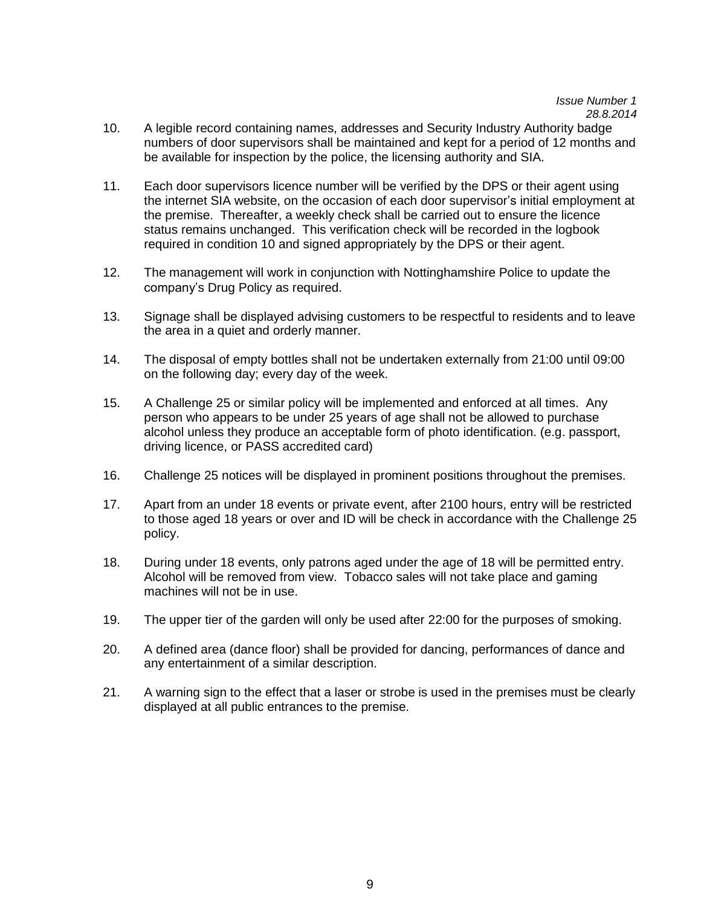## **APPENDIX 3B**

*Issue Number 1 28.8.2014* 

- 10. A legible record containing names, addresses and Security Industry Authority badge numbers of door supervisors shall be maintained and kept for a period of 12 months and be available for inspection by the police, the licensing authority and SIA.
- 11. Each door supervisors licence number will be verified by the DPS or their agent using the internet SIA website, on the occasion of each door supervisor's initial employment at the premise. Thereafter, a weekly check shall be carried out to ensure the licence status remains unchanged. This verification check will be recorded in the logbook required in condition 10 and signed appropriately by the DPS or their agent.
- 12. The management will work in conjunction with Nottinghamshire Police to update the company's Drug Policy as required.
- 13. Signage shall be displayed advising customers to be respectful to residents and to leave the area in a quiet and orderly manner.
- 14. The disposal of empty bottles shall not be undertaken externally from 21:00 until 09:00 on the following day; every day of the week.
- 15. A Challenge 25 or similar policy will be implemented and enforced at all times. Any person who appears to be under 25 years of age shall not be allowed to purchase alcohol unless they produce an acceptable form of photo identification. (e.g. passport, driving licence, or PASS accredited card)
- 16. Challenge 25 notices will be displayed in prominent positions throughout the premises.
- 17. Apart from an under 18 events or private event, after 2100 hours, entry will be restricted to those aged 18 years or over and ID will be check in accordance with the Challenge 25 policy.
- 18. During under 18 events, only patrons aged under the age of 18 will be permitted entry. Alcohol will be removed from view. Tobacco sales will not take place and gaming machines will not be in use.
- 19. The upper tier of the garden will only be used after 22:00 for the purposes of smoking.
- 20. A defined area (dance floor) shall be provided for dancing, performances of dance and any entertainment of a similar description.
- 21. A warning sign to the effect that a laser or strobe is used in the premises must be clearly displayed at all public entrances to the premise.